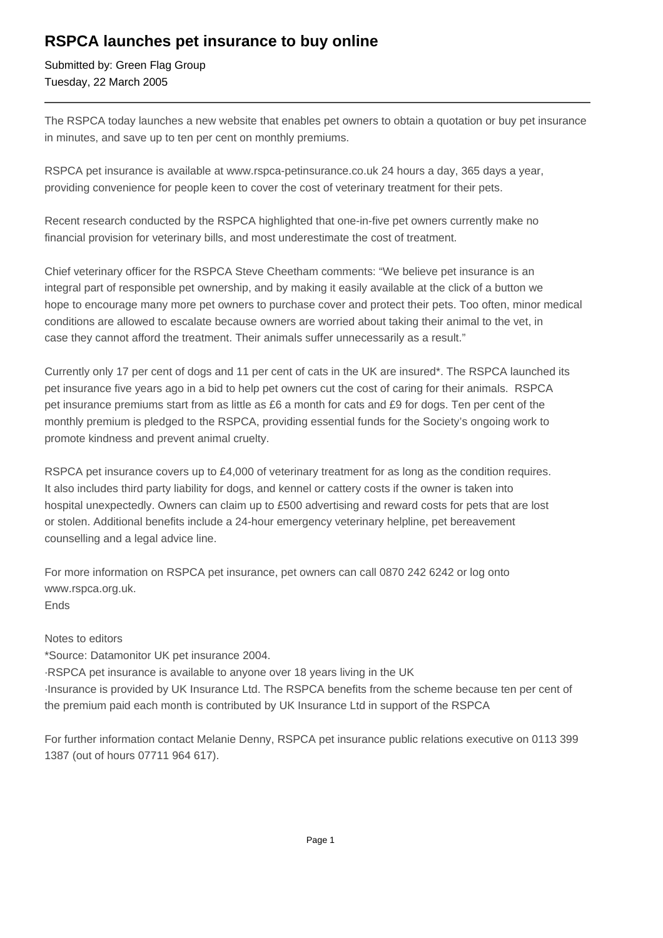## **RSPCA launches pet insurance to buy online**

Submitted by: Green Flag Group Tuesday, 22 March 2005

The RSPCA today launches a new website that enables pet owners to obtain a quotation or buy pet insurance in minutes, and save up to ten per cent on monthly premiums.

RSPCA pet insurance is available at www.rspca-petinsurance.co.uk 24 hours a day, 365 days a year, providing convenience for people keen to cover the cost of veterinary treatment for their pets.

Recent research conducted by the RSPCA highlighted that one-in-five pet owners currently make no financial provision for veterinary bills, and most underestimate the cost of treatment.

Chief veterinary officer for the RSPCA Steve Cheetham comments: "We believe pet insurance is an integral part of responsible pet ownership, and by making it easily available at the click of a button we hope to encourage many more pet owners to purchase cover and protect their pets. Too often, minor medical conditions are allowed to escalate because owners are worried about taking their animal to the vet, in case they cannot afford the treatment. Their animals suffer unnecessarily as a result."

Currently only 17 per cent of dogs and 11 per cent of cats in the UK are insured\*. The RSPCA launched its pet insurance five years ago in a bid to help pet owners cut the cost of caring for their animals. RSPCA pet insurance premiums start from as little as £6 a month for cats and £9 for dogs. Ten per cent of the monthly premium is pledged to the RSPCA, providing essential funds for the Society's ongoing work to promote kindness and prevent animal cruelty.

RSPCA pet insurance covers up to £4,000 of veterinary treatment for as long as the condition requires. It also includes third party liability for dogs, and kennel or cattery costs if the owner is taken into hospital unexpectedly. Owners can claim up to £500 advertising and reward costs for pets that are lost or stolen. Additional benefits include a 24-hour emergency veterinary helpline, pet bereavement counselling and a legal advice line.

For more information on RSPCA pet insurance, pet owners can call 0870 242 6242 or log onto www.rspca.org.uk. Ends

Notes to editors

\*Source: Datamonitor UK pet insurance 2004.

· RSPCA pet insurance is available to anyone over 18 years living in the UK

· Insurance is provided by UK Insurance Ltd. The RSPCA benefits from the scheme because ten per cent of the premium paid each month is contributed by UK Insurance Ltd in support of the RSPCA

For further information contact Melanie Denny, RSPCA pet insurance public relations executive on 0113 399 1387 (out of hours 07711 964 617).